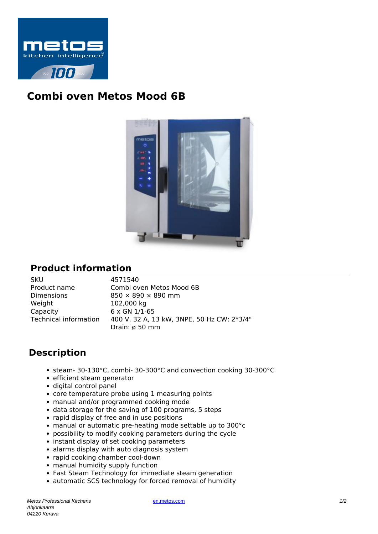

## **Combi oven Metos Mood 6B**



## **Product information**

| SKU                          |
|------------------------------|
| Product name                 |
| Dimensions                   |
| Weight                       |
| Capacity                     |
| <b>Technical information</b> |
|                              |

4571540 Combi oven Metos Mood 6B  $850 \times 890 \times 890$  mm 102,000 kg  $6 \times$  GN  $1/1-65$ 400 V, 32 A, 13 kW, 3NPE, 50 Hz CW: 2\*3/4" Drain: ø 50 mm

## **Description**

- steam- 30-130°C, combi- 30-300°C and convection cooking 30-300°C
- efficient steam generator
- digital control panel
- core temperature probe using 1 measuring points
- manual and/or programmed cooking mode
- data storage for the saving of 100 programs, 5 steps
- rapid display of free and in use positions
- manual or automatic pre-heating mode settable up to 300°c
- possibility to modify cooking parameters during the cycle
- instant display of set cooking parameters
- alarms display with auto diagnosis system
- rapid cooking chamber cool-down
- manual humidity supply function
- Fast Steam Technology for immediate steam generation
- automatic SCS technology for forced removal of humidity